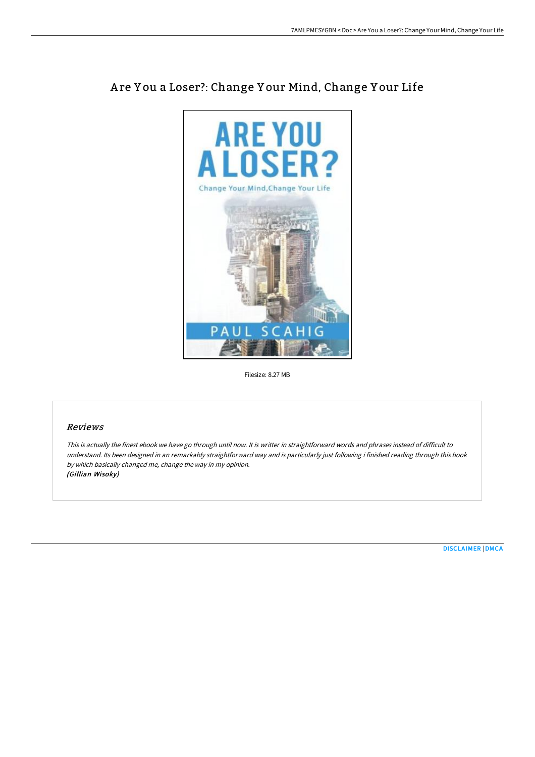

# A re Y ou a Loser?: Change Y our Mind, Change Y our Life

Filesize: 8.27 MB

## Reviews

This is actually the finest ebook we have go through until now. It is writter in straightforward words and phrases instead of difficult to understand. Its been designed in an remarkably straightforward way and is particularly just following i finished reading through this book by which basically changed me, change the way in my opinion. (Gillian Wisoky)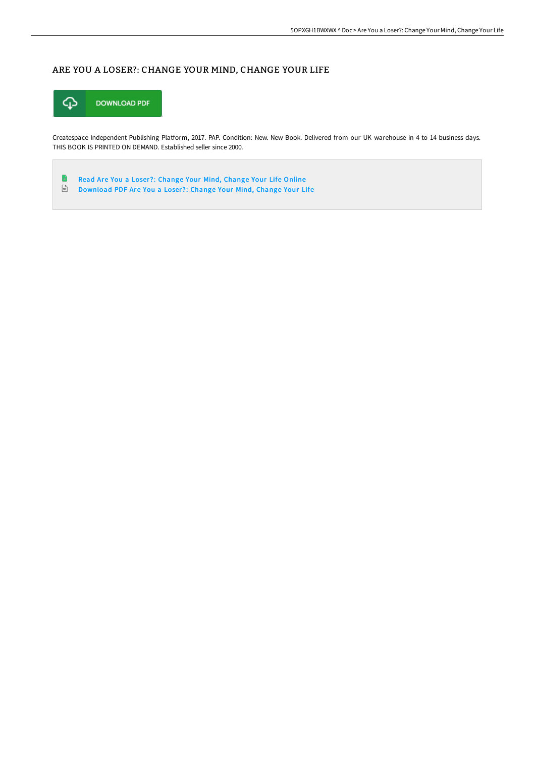# ARE YOU A LOSER?: CHANGE YOUR MIND, CHANGE YOUR LIFE



Createspace Independent Publishing Platform, 2017. PAP. Condition: New. New Book. Delivered from our UK warehouse in 4 to 14 business days. THIS BOOK IS PRINTED ON DEMAND. Established seller since 2000.

B Read Are You a Loser?: [Change](http://digilib.live/are-you-a-loser-change-your-mind-change-your-lif.html) Your Mind, Change Your Life Online  $\frac{D}{P\Omega}$ [Download](http://digilib.live/are-you-a-loser-change-your-mind-change-your-lif.html) PDF Are You a Loser?: Change Your Mind, Change Your Life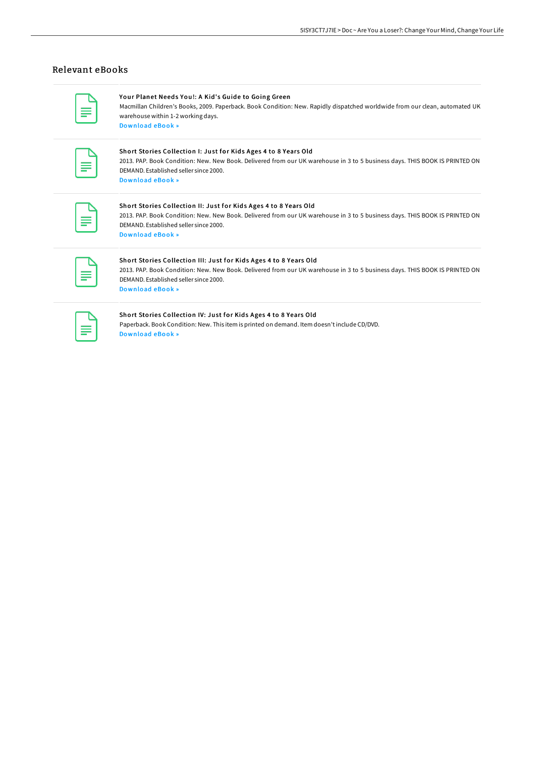## Relevant eBooks

[Download](http://digilib.live/your-planet-needs-you-a-kid-x27-s-guide-to-going.html) eBook »

Your Planet Needs You!: A Kid's Guide to Going Green Macmillan Children's Books, 2009. Paperback. Book Condition: New. Rapidly dispatched worldwide from our clean, automated UK warehouse within 1-2 working days.

#### Short Stories Collection I: Just for Kids Ages 4 to 8 Years Old

2013. PAP. Book Condition: New. New Book. Delivered from our UK warehouse in 3 to 5 business days. THIS BOOK IS PRINTED ON DEMAND. Established seller since 2000. [Download](http://digilib.live/short-stories-collection-i-just-for-kids-ages-4-.html) eBook »

#### Short Stories Collection II: Just for Kids Ages 4 to 8 Years Old

2013. PAP. Book Condition: New. New Book. Delivered from our UK warehouse in 3 to 5 business days. THIS BOOK IS PRINTED ON DEMAND. Established seller since 2000. [Download](http://digilib.live/short-stories-collection-ii-just-for-kids-ages-4.html) eBook »

### Short Stories Collection III: Just for Kids Ages 4 to 8 Years Old

2013. PAP. Book Condition: New. New Book. Delivered from our UK warehouse in 3 to 5 business days. THIS BOOK IS PRINTED ON DEMAND. Established seller since 2000. [Download](http://digilib.live/short-stories-collection-iii-just-for-kids-ages-.html) eBook »

#### Short Stories Collection IV: Just for Kids Ages 4 to 8 Years Old

Paperback. Book Condition: New. This item is printed on demand. Item doesn'tinclude CD/DVD. [Download](http://digilib.live/short-stories-collection-iv-just-for-kids-ages-4.html) eBook »